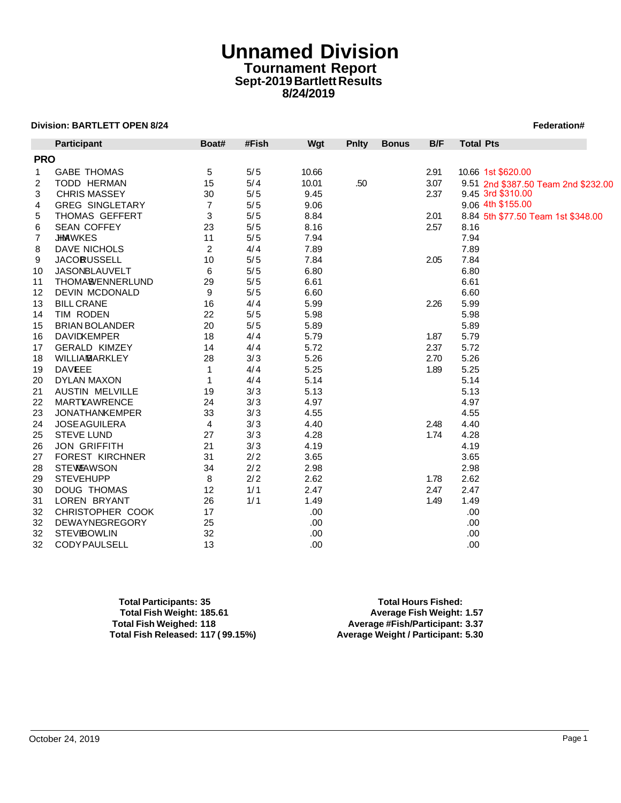# **Unnamed Division Tournament Report Sept-2019 Bartlett Results 8/24/2019**

## **Division: BARTLETT OPEN 8/24 Federation#**  $\blacksquare$  **Particle in the set of the set of the set of the set of the set of the set of the set of the set of the set of the set of the set of the set of the set of the set of the s**

|            | <b>Division: BARTLETT OPEN 8/24</b> |                |       |       |              |              |      |                    | Federation#                         |
|------------|-------------------------------------|----------------|-------|-------|--------------|--------------|------|--------------------|-------------------------------------|
|            | <b>Participant</b>                  | Boat#          | #Fish | Wgt   | <b>Pnlty</b> | <b>Bonus</b> | B/F  | <b>Total Pts</b>   |                                     |
| <b>PRO</b> |                                     |                |       |       |              |              |      |                    |                                     |
| 1          | <b>GABE THOMAS</b>                  | 5              | 5/5   | 10.66 |              |              | 2.91 | 10.66 1st \$620.00 |                                     |
| 2          | <b>TODD HERMAN</b>                  | 15             | 5/4   | 10.01 | .50          |              | 3.07 |                    | 9.51 2nd \$387.50 Team 2nd \$232.00 |
| 3          | <b>CHRIS MASSEY</b>                 | 30             | 5/5   | 9.45  |              |              | 2.37 | 9.45 3rd \$310.00  |                                     |
| 4          | <b>GREG SINGLETARY</b>              | $\overline{7}$ | 5/5   | 9.06  |              |              |      | 9.06 4th \$155.00  |                                     |
| 5          | THOMAS GEFFERT                      | 3              | 5/5   | 8.84  |              |              | 2.01 |                    | 8.84 5th \$77.50 Team 1st \$348.00  |
| 6          | <b>SEAN COFFEY</b>                  | 23             | 5/5   | 8.16  |              |              | 2.57 | 8.16               |                                     |
| 7          | <b>JHMAWKES</b>                     | 11             | 5/5   | 7.94  |              |              |      | 7.94               |                                     |
| 8          | DAVE NICHOLS                        | 2              | 4/4   | 7.89  |              |              |      | 7.89               |                                     |
| 9          | <b>JACORUSSELL</b>                  | 10             | 5/5   | 7.84  |              |              | 2.05 | 7.84               |                                     |
| 10         | JASONBLAUVELT                       | 6              | 5/5   | 6.80  |              |              |      | 6.80               |                                     |
| 11         | THOMA <sup>8</sup> ENNERLUND        | 29             | 5/5   | 6.61  |              |              |      | 6.61               |                                     |
| 12         | <b>DEVIN MCDONALD</b>               | 9              | 5/5   | 6.60  |              |              |      | 6.60               |                                     |
| 13         | <b>BILL CRANE</b>                   | 16             | 4/4   | 5.99  |              |              | 2.26 | 5.99               |                                     |
| 14         | TIM RODEN                           | 22             | 5/5   | 5.98  |              |              |      | 5.98               |                                     |
| 15         | <b>BRIAN BOLANDER</b>               | 20             | 5/5   | 5.89  |              |              |      | 5.89               |                                     |
| 16         | <b>DAVIDKEMPER</b>                  | 18             | 4/4   | 5.79  |              |              | 1.87 | 5.79               |                                     |
| 17         | <b>GERALD KIMZEY</b>                | 14             | 4/4   | 5.72  |              |              | 2.37 | 5.72               |                                     |
| 18         | <b>WILLIAMARKLEY</b>                | 28             | 3/3   | 5.26  |              |              | 2.70 | 5.26               |                                     |
| 19         | <b>DAVEEE</b>                       | $\mathbf{1}$   | 4/4   | 5.25  |              |              | 1.89 | 5.25               |                                     |
| 20         | <b>DYLAN MAXON</b>                  | 1              | 4/4   | 5.14  |              |              |      | 5.14               |                                     |
| 21         | <b>AUSTIN MELVILLE</b>              | 19             | 3/3   | 5.13  |              |              |      | 5.13               |                                     |
| 22         | MARTYAWRENCE                        | 24             | 3/3   | 4.97  |              |              |      | 4.97               |                                     |
| 23         | <b>JONATHANKEMPER</b>               | 33             | 3/3   | 4.55  |              |              |      | 4.55               |                                     |
| 24         | <b>JOSE AGUILERA</b>                | 4              | 3/3   | 4.40  |              |              | 2.48 | 4.40               |                                     |
| 25         | <b>STEVE LUND</b>                   | 27             | 3/3   | 4.28  |              |              | 1.74 | 4.28               |                                     |
| 26         | <b>JON GRIFFITH</b>                 | 21             | 3/3   | 4.19  |              |              |      | 4.19               |                                     |
| 27         | <b>FOREST KIRCHNER</b>              | 31             | 2/2   | 3.65  |              |              |      | 3.65               |                                     |
| 28         | <b>STEWEAWSON</b>                   | 34             | 2/2   | 2.98  |              |              |      | 2.98               |                                     |
| 29         | <b>STEVEHUPP</b>                    | 8              | 2/2   | 2.62  |              |              | 1.78 | 2.62               |                                     |
| 30         | <b>DOUG THOMAS</b>                  | 12             | 1/1   | 2.47  |              |              | 2.47 | 2.47               |                                     |
| 31         | LOREN BRYANT                        | 26             | 1/1   | 1.49  |              |              | 1.49 | 1.49               |                                     |
| 32         | CHRISTOPHER COOK                    | 17             |       | .00   |              |              |      | .00                |                                     |
| 32         | DEWAYNEGREGORY                      | 25             |       | .00   |              |              |      | .00                |                                     |
| 32         | <b>STEVBOWLIN</b>                   | 32             |       | .00   |              |              |      | .00                |                                     |
| 32         | <b>CODYPAULSELL</b>                 | 13             |       | .00   |              |              |      | .00.               |                                     |

| <b>Total Participants: 35</b>     |  |
|-----------------------------------|--|
| Total Fish Weight: 185.61         |  |
| <b>Total Fish Weighed: 118</b>    |  |
| Total Fish Released: 117 (99.15%) |  |

**Total Hours Fished: Total Fish Weight: 185.61 Average Fish Weight: 1.57 Total Fish Weighed: 118 Average #Fish/Participant: 3.37 Total Fish Released: 117 ( 99.15%) Average Weight / Participant: 5.30**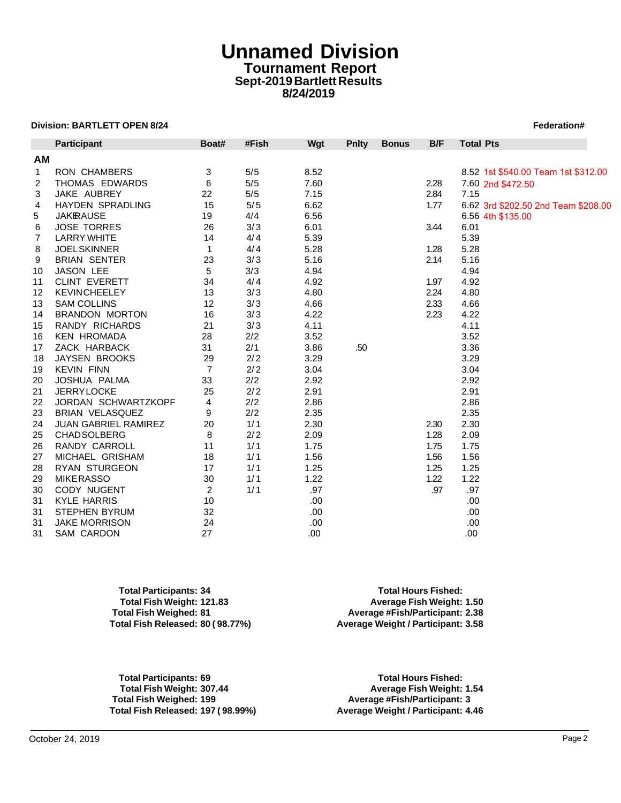# **Unnamed Division Tournament Report Sept-2019 Bartlett Results 8/24/2019**

### **Division: BARTLETT OPEN 8/24** Federation # **1999 Federation # 1999 Federation # 1999 Federation # 1999 Federation # 1999 Federation # 1999 Federation # 1999 Federation # 1999 Federation # 1999 Federation # 1999 Federation**

|    | <b>Division: BARTLETT OPEN 8/24</b> |                |       |      |              |              |      | Federation#                         |
|----|-------------------------------------|----------------|-------|------|--------------|--------------|------|-------------------------------------|
|    | Participant                         | Boat#          | #Fish | Wgt  | <b>Pnlty</b> | <b>Bonus</b> | B/F  | <b>Total Pts</b>                    |
| AM |                                     |                |       |      |              |              |      |                                     |
| 1  | RON CHAMBERS                        | 3              | 5/5   | 8.52 |              |              |      | 8.52 1st \$540.00 Team 1st \$312.00 |
| 2  | THOMAS EDWARDS                      | 6              | 5/5   | 7.60 |              |              | 2.28 | 7.60 2nd \$472.50                   |
| 3  | JAKE AUBREY                         | 22             | 5/5   | 7.15 |              |              | 2.84 | 7.15                                |
| 4  | <b>HAYDEN SPRADLING</b>             | 15             | 5/5   | 6.62 |              |              | 1.77 | 6.62 3rd \$202.50 2nd Team \$208.00 |
| 5  | <b>JAKRAUSE</b>                     | 19             | 4/4   | 6.56 |              |              |      | 6.56 4th \$135.00                   |
| 6  | <b>JOSE TORRES</b>                  | 26             | 3/3   | 6.01 |              |              | 3.44 | 6.01                                |
| 7  | <b>LARRY WHITE</b>                  | 14             | 4/4   | 5.39 |              |              |      | 5.39                                |
| 8  | <b>JOELSKINNER</b>                  | $\mathbf{1}$   | 4/4   | 5.28 |              |              | 1.28 | 5.28                                |
| 9  | <b>BRIAN SENTER</b>                 | 23             | 3/3   | 5.16 |              |              | 2.14 | 5.16                                |
| 10 | JASON LEE                           | 5              | 3/3   | 4.94 |              |              |      | 4.94                                |
| 11 | <b>CLINT EVERETT</b>                | 34             | 4/4   | 4.92 |              |              | 1.97 | 4.92                                |
| 12 | <b>KEVINCHEELEY</b>                 | 13             | 3/3   | 4.80 |              |              | 2.24 | 4.80                                |
| 13 | <b>SAM COLLINS</b>                  | 12             | 3/3   | 4.66 |              |              | 2.33 | 4.66                                |
| 14 | <b>BRANDON MORTON</b>               | 16             | 3/3   | 4.22 |              |              | 2.23 | 4.22                                |
| 15 | RANDY RICHARDS                      | 21             | 3/3   | 4.11 |              |              |      | 4.11                                |
| 16 | <b>KEN HROMADA</b>                  | 28             | 2/2   | 3.52 |              |              |      | 3.52                                |
| 17 | ZACK HARBACK                        | 31             | 2/1   | 3.86 | .50          |              |      | 3.36                                |
| 18 | JAYSEN BROOKS                       | 29             | 2/2   | 3.29 |              |              |      | 3.29                                |
| 19 | <b>KEVIN FINN</b>                   | $\overline{7}$ | 2/2   | 3.04 |              |              |      | 3.04                                |
| 20 | JOSHUA PALMA                        | 33             | 2/2   | 2.92 |              |              |      | 2.92                                |
| 21 | <b>JERRYLOCKE</b>                   | 25             | 2/2   | 2.91 |              |              |      | 2.91                                |
| 22 | JORDAN SCHWARTZKOPF                 | 4              | 2/2   | 2.86 |              |              |      | 2.86                                |
| 23 | <b>BRIAN VELASQUEZ</b>              | 9              | 2/2   | 2.35 |              |              |      | 2.35                                |
| 24 | <b>JUAN GABRIEL RAMIREZ</b>         | 20             | 1/1   | 2.30 |              |              | 2.30 | 2.30                                |
| 25 | <b>CHADSOLBERG</b>                  | 8              | 2/2   | 2.09 |              |              | 1.28 | 2.09                                |
| 26 | RANDY CARROLL                       | 11             | 1/1   | 1.75 |              |              | 1.75 | 1.75                                |
| 27 | MICHAEL GRISHAM                     | 18             | 1/1   | 1.56 |              |              | 1.56 | 1.56                                |
| 28 | <b>RYAN STURGEON</b>                | 17             | 1/1   | 1.25 |              |              | 1.25 | 1.25                                |
| 29 | <b>MIKERASSO</b>                    | 30             | 1/1   | 1.22 |              |              | 1.22 | 1.22                                |
| 30 | CODY NUGENT                         | 2              | 1/1   | .97  |              |              | .97  | .97                                 |
| 31 | <b>KYLE HARRIS</b>                  | 10             |       | .00  |              |              |      | .00                                 |
| 31 | <b>STEPHEN BYRUM</b>                | 32             |       | .00  |              |              |      | .00                                 |
| 31 | JAKE MORRISON                       | 24             |       | .00  |              |              |      | .00                                 |
| 31 | SAM CARDON                          | 27             |       | .00  |              |              |      | .00                                 |

**Total Participants: 34 Total Hours Fished: Total Fish Weight: 121.83 Average Fish Weight: 1.50**

**Total Fish Weighed: 81 Average #Fish/Participant: 2.38 Total Fish Released: 80 ( 98.77%) Average Weight / Participant: 3.58**

**Total Participants: 69 Total Hours Fished: Total Fish Weight: 307.44 Average Fish Weight: 1.54 Total Fish Weighed: 199 Average #Fish/Participant: 3**

**Total Fish Released: 197 ( 98.99%) Average Weight / Participant: 4.46**